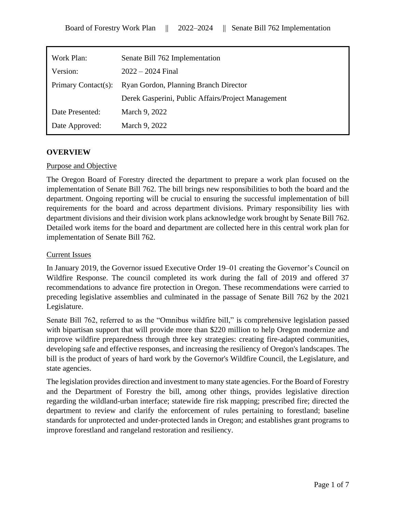| Work Plan:          | Senate Bill 762 Implementation                     |
|---------------------|----------------------------------------------------|
| Version:            | $2022 - 2024$ Final                                |
| Primary Contact(s): | Ryan Gordon, Planning Branch Director              |
|                     | Derek Gasperini, Public Affairs/Project Management |
| Date Presented:     | March 9, 2022                                      |
| Date Approved:      | March 9, 2022                                      |

# **OVERVIEW**

### Purpose and Objective

The Oregon Board of Forestry directed the department to prepare a work plan focused on the implementation of Senate Bill 762. The bill brings new responsibilities to both the board and the department. Ongoing reporting will be crucial to ensuring the successful implementation of bill requirements for the board and across department divisions. Primary responsibility lies with department divisions and their division work plans acknowledge work brought by Senate Bill 762. Detailed work items for the board and department are collected here in this central work plan for implementation of Senate Bill 762.

### Current Issues

In January 2019, the Governor issued Executive Order 19–01 creating the Governor's Council on Wildfire Response. The council completed its work during the fall of 2019 and offered 37 recommendations to advance fire protection in Oregon. These recommendations were carried to preceding legislative assemblies and culminated in the passage of Senate Bill 762 by the 2021 Legislature.

Senate Bill 762, referred to as the "Omnibus wildfire bill," is comprehensive legislation passed with bipartisan support that will provide more than \$220 million to help Oregon modernize and improve wildfire preparedness through three key strategies: creating fire-adapted communities, developing safe and effective responses, and increasing the resiliency of Oregon's landscapes. The bill is the product of years of hard work by the Governor's Wildfire Council, the Legislature, and state agencies.

The legislation provides direction and investment to many state agencies. For the Board of Forestry and the Department of Forestry the bill, among other things, provides legislative direction regarding the wildland-urban interface; statewide fire risk mapping; prescribed fire; directed the department to review and clarify the enforcement of rules pertaining to forestland; baseline standards for unprotected and under-protected lands in Oregon; and establishes grant programs to improve forestland and rangeland restoration and resiliency.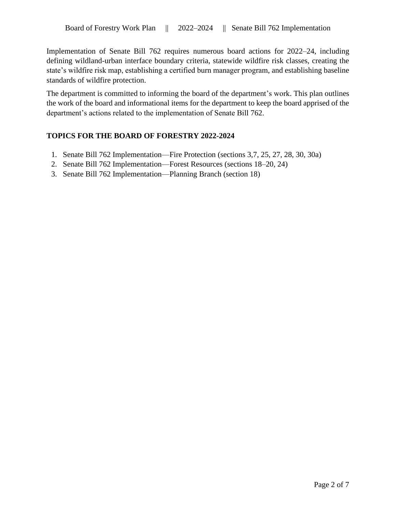Implementation of Senate Bill 762 requires numerous board actions for 2022–24, including defining wildland-urban interface boundary criteria, statewide wildfire risk classes, creating the state's wildfire risk map, establishing a certified burn manager program, and establishing baseline standards of wildfire protection.

The department is committed to informing the board of the department's work. This plan outlines the work of the board and informational items for the department to keep the board apprised of the department's actions related to the implementation of Senate Bill 762.

# **TOPICS FOR THE BOARD OF FORESTRY 2022-2024**

- 1. Senate Bill 762 Implementation—Fire Protection (sections 3,7, 25, 27, 28, 30, 30a)
- 2. Senate Bill 762 Implementation—Forest Resources (sections 18–20, 24)
- 3. Senate Bill 762 Implementation—Planning Branch (section 18)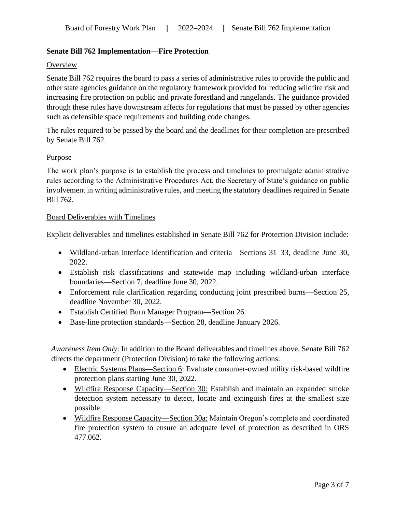# **Senate Bill 762 Implementation—Fire Protection**

# **Overview**

Senate Bill 762 requires the board to pass a series of administrative rules to provide the public and other state agencies guidance on the regulatory framework provided for reducing wildfire risk and increasing fire protection on public and private forestland and rangelands. The guidance provided through these rules have downstream affects for regulations that must be passed by other agencies such as defensible space requirements and building code changes.

The rules required to be passed by the board and the deadlines for their completion are prescribed by Senate Bill 762.

# Purpose

The work plan's purpose is to establish the process and timelines to promulgate administrative rules according to the Administrative Procedures Act, the Secretary of State's guidance on public involvement in writing administrative rules, and meeting the statutory deadlines required in Senate Bill 762.

# Board Deliverables with Timelines

Explicit deliverables and timelines established in Senate Bill 762 for Protection Division include:

- Wildland-urban interface identification and criteria—Sections 31–33, deadline June 30, 2022.
- Establish risk classifications and statewide map including wildland-urban interface boundaries—Section 7, deadline June 30, 2022.
- Enforcement rule clarification regarding conducting joint prescribed burns—Section 25, deadline November 30, 2022.
- Establish Certified Burn Manager Program—Section 26.
- Base-line protection standards—Section 28, deadline January 2026.

*Awareness Item Only*: In addition to the Board deliverables and timelines above, Senate Bill 762 directs the department (Protection Division) to take the following actions:

- Electric Systems Plans—Section 6: Evaluate consumer-owned utility risk-based wildfire protection plans starting June 30, 2022.
- Wildfire Response Capacity—Section 30: Establish and maintain an expanded smoke detection system necessary to detect, locate and extinguish fires at the smallest size possible.
- Wildfire Response Capacity—Section 30a: Maintain Oregon's complete and coordinated fire protection system to ensure an adequate level of protection as described in ORS 477.062.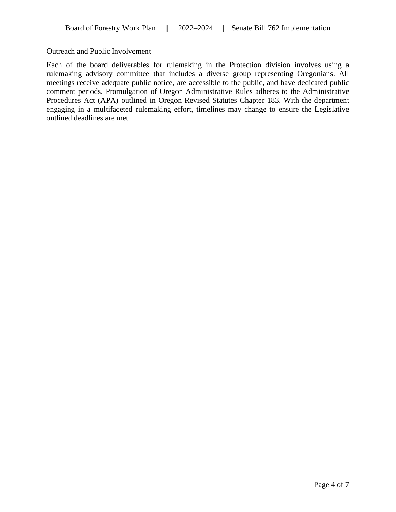# Outreach and Public Involvement

Each of the board deliverables for rulemaking in the Protection division involves using a rulemaking advisory committee that includes a diverse group representing Oregonians. All meetings receive adequate public notice, are accessible to the public, and have dedicated public comment periods. Promulgation of Oregon Administrative Rules adheres to the Administrative Procedures Act (APA) outlined in Oregon Revised Statutes Chapter 183. With the department engaging in a multifaceted rulemaking effort, timelines may change to ensure the Legislative outlined deadlines are met.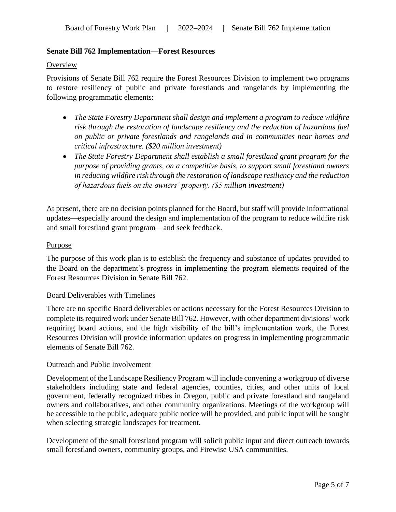# **Senate Bill 762 Implementation—Forest Resources**

#### **Overview**

Provisions of Senate Bill 762 require the Forest Resources Division to implement two programs to restore resiliency of public and private forestlands and rangelands by implementing the following programmatic elements:

- *The State Forestry Department shall design and implement a program to reduce wildfire risk through the restoration of landscape resiliency and the reduction of hazardous fuel on public or private forestlands and rangelands and in communities near homes and critical infrastructure. (\$20 million investment)*
- *The State Forestry Department shall establish a small forestland grant program for the purpose of providing grants, on a competitive basis, to support small forestland owners in reducing wildfire risk through the restoration of landscape resiliency and the reduction of hazardous fuels on the owners' property. (\$5 million investment)*

At present, there are no decision points planned for the Board, but staff will provide informational updates—especially around the design and implementation of the program to reduce wildfire risk and small forestland grant program—and seek feedback.

### Purpose

The purpose of this work plan is to establish the frequency and substance of updates provided to the Board on the department's progress in implementing the program elements required of the Forest Resources Division in Senate Bill 762.

### Board Deliverables with Timelines

There are no specific Board deliverables or actions necessary for the Forest Resources Division to complete its required work under Senate Bill 762. However, with other department divisions' work requiring board actions, and the high visibility of the bill's implementation work, the Forest Resources Division will provide information updates on progress in implementing programmatic elements of Senate Bill 762.

### Outreach and Public Involvement

Development of the Landscape Resiliency Program will include convening a workgroup of diverse stakeholders including state and federal agencies, counties, cities, and other units of local government, federally recognized tribes in Oregon, public and private forestland and rangeland owners and collaboratives, and other community organizations. Meetings of the workgroup will be accessible to the public, adequate public notice will be provided, and public input will be sought when selecting strategic landscapes for treatment.

Development of the small forestland program will solicit public input and direct outreach towards small forestland owners, community groups, and Firewise USA communities.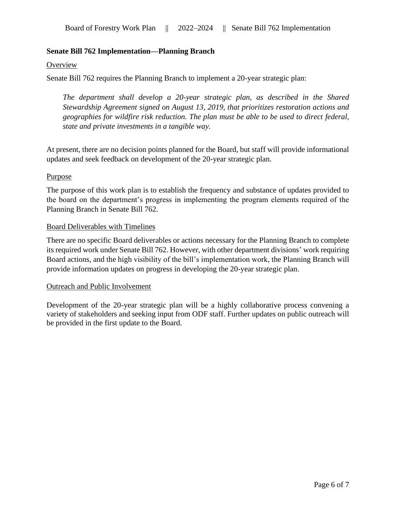# **Senate Bill 762 Implementation—Planning Branch**

#### **Overview**

Senate Bill 762 requires the Planning Branch to implement a 20-year strategic plan:

*The department shall develop a 20-year strategic plan, as described in the Shared Stewardship Agreement signed on August 13, 2019, that prioritizes restoration actions and geographies for wildfire risk reduction. The plan must be able to be used to direct federal, state and private investments in a tangible way.*

At present, there are no decision points planned for the Board, but staff will provide informational updates and seek feedback on development of the 20-year strategic plan.

### Purpose

The purpose of this work plan is to establish the frequency and substance of updates provided to the board on the department's progress in implementing the program elements required of the Planning Branch in Senate Bill 762.

### Board Deliverables with Timelines

There are no specific Board deliverables or actions necessary for the Planning Branch to complete its required work under Senate Bill 762. However, with other department divisions' work requiring Board actions, and the high visibility of the bill's implementation work, the Planning Branch will provide information updates on progress in developing the 20-year strategic plan.

### Outreach and Public Involvement

Development of the 20-year strategic plan will be a highly collaborative process convening a variety of stakeholders and seeking input from ODF staff. Further updates on public outreach will be provided in the first update to the Board.